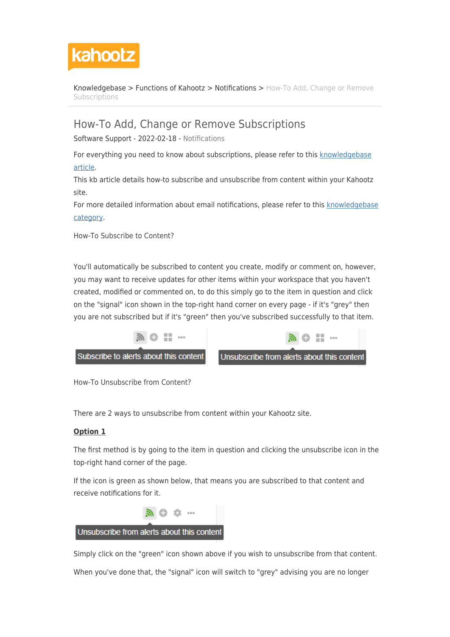

[Knowledgebase](https://help.kahootz.com/kb) > [Functions of Kahootz](https://help.kahootz.com/kb/functions-of-kahootz) > [Notifications](https://help.kahootz.com/kb/notifications) > [How-To Add, Change or Remove](https://help.kahootz.com/kb/articles/how-to-add-change-or-remove-subscriptions) [Subscriptions](https://help.kahootz.com/kb/articles/how-to-add-change-or-remove-subscriptions)

## How-To Add, Change or Remove Subscriptions

Software Support - 2022-02-18 - [Notifications](https://help.kahootz.com/kb/notifications)

For everything you need to know about subscriptions, please refer to this [knowledgebase](https://help.kahootz.com/kb/articles/subscriptions-everything-you-need-to-know) [article](https://help.kahootz.com/kb/articles/subscriptions-everything-you-need-to-know).

This kb article details how-to subscribe and unsubscribe from content within your Kahootz site.

For more detailed information about email notifications, please refer to this [knowledgebase](https://help.kahootz.com/kb/notifications) [category](https://help.kahootz.com/kb/notifications).

How-To Subscribe to Content?

You'll automatically be subscribed to content you create, modify or comment on, however, you may want to receive updates for other items within your workspace that you haven't created, modified or commented on, to do this simply go to the item in question and click on the "signal" icon shown in the top-right hand corner on every page - if it's "grey" then you are not subscribed but if it's "green" then you've subscribed successfully to that item.



How-To Unsubscribe from Content?

There are 2 ways to unsubscribe from content within your Kahootz site.

## **Option 1**

The first method is by going to the item in question and clicking the unsubscribe icon in the top-right hand corner of the page.

If the icon is green as shown below, that means you are subscribed to that content and receive notifications for it.



Simply click on the "green" icon shown above if you wish to unsubscribe from that content.

When you've done that, the "signal" icon will switch to "grey" advising you are no longer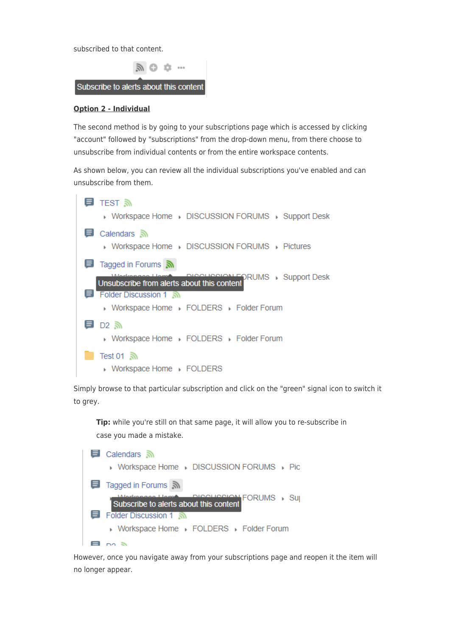subscribed to that content.



## **Option 2 - Individual**

The second method is by going to your subscriptions page which is accessed by clicking "account" followed by "subscriptions" from the drop-down menu, from there choose to unsubscribe from individual contents or from the entire workspace contents.

As shown below, you can review all the individual subscriptions you've enabled and can unsubscribe from them.



Simply browse to that particular subscription and click on the "green" signal icon to switch it to grey.

**Tip:** while you're still on that same page, it will allow you to re-subscribe in case you made a mistake.



However, once you navigate away from your subscriptions page and reopen it the item will no longer appear.